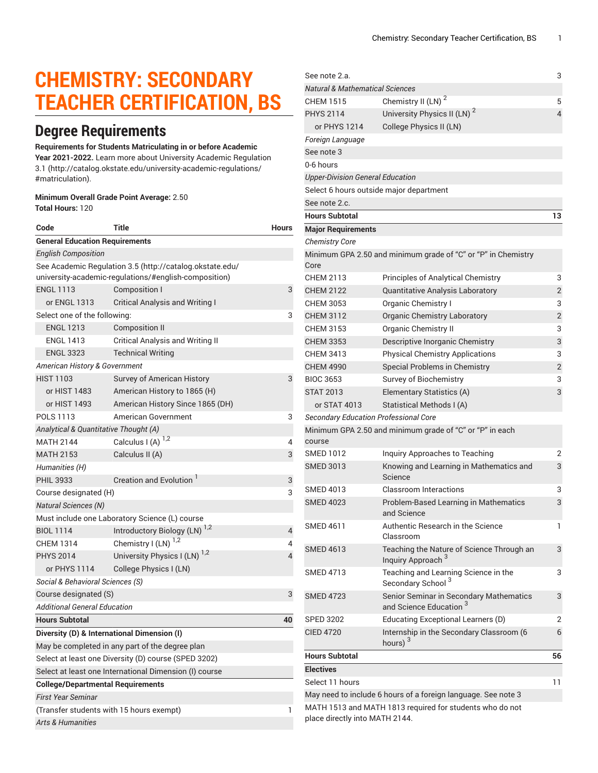# **CHEMISTRY: SECONDARY TEACHER CERTIFICATION, BS**

# **Degree Requirements**

#### **Requirements for Students Matriculating in or before Academic**

**Year 2021-2022.** Learn more about University Academic [Regulation](http://catalog.okstate.edu/university-academic-regulations/#matriculation) [3.1](http://catalog.okstate.edu/university-academic-regulations/#matriculation) ([http://catalog.okstate.edu/university-academic-regulations/](http://catalog.okstate.edu/university-academic-regulations/#matriculation) [#matriculation\)](http://catalog.okstate.edu/university-academic-regulations/#matriculation).

#### **Minimum Overall Grade Point Average:** 2.50 **Total Hours:** 120

| Code                                                                                                              | <b>Title</b>                                    | <b>Hours</b> |  |  |
|-------------------------------------------------------------------------------------------------------------------|-------------------------------------------------|--------------|--|--|
| <b>General Education Requirements</b>                                                                             |                                                 |              |  |  |
| <b>English Composition</b>                                                                                        |                                                 |              |  |  |
| See Academic Regulation 3.5 (http://catalog.okstate.edu/<br>university-academic-regulations/#english-composition) |                                                 |              |  |  |
| <b>ENGL 1113</b>                                                                                                  | Composition I                                   | 3            |  |  |
| or ENGL 1313                                                                                                      | Critical Analysis and Writing I                 |              |  |  |
| Select one of the following:                                                                                      |                                                 |              |  |  |
| <b>ENGL 1213</b>                                                                                                  | <b>Composition II</b>                           |              |  |  |
| <b>ENGL 1413</b>                                                                                                  | <b>Critical Analysis and Writing II</b>         |              |  |  |
| <b>ENGL 3323</b>                                                                                                  | <b>Technical Writing</b>                        |              |  |  |
| American History & Government                                                                                     |                                                 |              |  |  |
| <b>HIST 1103</b>                                                                                                  | Survey of American History                      | 3            |  |  |
| or HIST 1483                                                                                                      | American History to 1865 (H)                    |              |  |  |
| or HIST 1493                                                                                                      | American History Since 1865 (DH)                |              |  |  |
| POLS 1113                                                                                                         | American Government                             | 3            |  |  |
| Analytical & Quantitative Thought (A)                                                                             |                                                 |              |  |  |
| <b>MATH 2144</b>                                                                                                  | Calculus I (A) $^{1,2}$                         | 4            |  |  |
| <b>MATH 2153</b>                                                                                                  | Calculus II (A)                                 | 3            |  |  |
| Humanities (H)                                                                                                    |                                                 |              |  |  |
| <b>PHIL 3933</b>                                                                                                  | Creation and Evolution                          | 3            |  |  |
| Course designated (H)                                                                                             |                                                 | 3            |  |  |
| <b>Natural Sciences (N)</b>                                                                                       |                                                 |              |  |  |
| Must include one Laboratory Science (L) course                                                                    |                                                 |              |  |  |
| <b>BIOL 1114</b>                                                                                                  | Introductory Biology (LN) <sup>1,2</sup>        | 4            |  |  |
| <b>CHEM 1314</b>                                                                                                  | Chemistry I (LN) $^{1,2}$                       | 4            |  |  |
| <b>PHYS 2014</b>                                                                                                  | University Physics I (LN) <sup>1,2</sup>        | 4            |  |  |
| or PHYS 1114                                                                                                      | College Physics I (LN)                          |              |  |  |
| Social & Behavioral Sciences (S)                                                                                  |                                                 |              |  |  |
| Course designated (S)<br>3                                                                                        |                                                 |              |  |  |
| <b>Additional General Education</b>                                                                               |                                                 |              |  |  |
| <b>Hours Subtotal</b>                                                                                             |                                                 | 40           |  |  |
|                                                                                                                   | Diversity (D) & International Dimension (I)     |              |  |  |
|                                                                                                                   | May be completed in any part of the degree plan |              |  |  |
| Select at least one Diversity (D) course (SPED 3202)                                                              |                                                 |              |  |  |
| Select at least one International Dimension (I) course                                                            |                                                 |              |  |  |
| <b>College/Departmental Requirements</b>                                                                          |                                                 |              |  |  |
| <b>First Year Seminar</b>                                                                                         |                                                 |              |  |  |
| (Transfer students with 15 hours exempt)<br>1                                                                     |                                                 |              |  |  |
| <b>Arts &amp; Humanities</b>                                                                                      |                                                 |              |  |  |

| See note 2.a.                                |                                                                               | 3              |
|----------------------------------------------|-------------------------------------------------------------------------------|----------------|
| <b>Natural &amp; Mathematical Sciences</b>   |                                                                               |                |
| CHEM 1515                                    | Chemistry II (LN) <sup>2</sup>                                                | 5              |
| <b>PHYS 2114</b>                             | University Physics II (LN) <sup>2</sup>                                       | 4              |
| or PHYS 1214                                 | College Physics II (LN)                                                       |                |
| Foreign Language                             |                                                                               |                |
| See note 3                                   |                                                                               |                |
| 0-6 hours                                    |                                                                               |                |
| <b>Upper-Division General Education</b>      |                                                                               |                |
|                                              | Select 6 hours outside major department                                       |                |
| See note 2.c.                                |                                                                               |                |
| <b>Hours Subtotal</b>                        |                                                                               | 13             |
| <b>Major Requirements</b>                    |                                                                               |                |
| <b>Chemistry Core</b>                        |                                                                               |                |
| Core                                         | Minimum GPA 2.50 and minimum grade of "C" or "P" in Chemistry                 |                |
| CHFM 2113                                    | <b>Principles of Analytical Chemistry</b>                                     | 3              |
| <b>CHEM 2122</b>                             | <b>Quantitative Analysis Laboratory</b>                                       | $\overline{2}$ |
| CHEM 3053                                    | <b>Organic Chemistry I</b>                                                    | 3              |
| <b>CHEM 3112</b>                             | <b>Organic Chemistry Laboratory</b>                                           | $\overline{2}$ |
| CHEM 3153                                    | <b>Organic Chemistry II</b>                                                   | 3              |
| <b>CHEM 3353</b>                             | Descriptive Inorganic Chemistry                                               | 3              |
| <b>CHEM 3413</b>                             | <b>Physical Chemistry Applications</b>                                        | 3              |
| <b>CHEM 4990</b>                             | Special Problems in Chemistry                                                 | $\overline{2}$ |
| <b>BIOC 3653</b>                             | <b>Survey of Biochemistry</b>                                                 | 3              |
| <b>STAT 2013</b>                             | Elementary Statistics (A)                                                     | 3              |
| or STAT 4013                                 | Statistical Methods I (A)                                                     |                |
| <b>Secondary Education Professional Core</b> |                                                                               |                |
| course                                       | Minimum GPA 2.50 and minimum grade of "C" or "P" in each                      |                |
| <b>SMED 1012</b>                             | Inquiry Approaches to Teaching                                                | 2              |
| <b>SMED 3013</b>                             | Knowing and Learning in Mathematics and<br>Science                            | 3              |
| SMFD 4013                                    | Classroom Interactions                                                        | 3              |
| <b>SMED 4023</b>                             | Problem-Based Learning in Mathematics<br>and Science                          | 3              |
| SMED 4611                                    | Authentic Research in the Science<br>Classroom                                | 1              |
| <b>SMED 4613</b>                             | Teaching the Nature of Science Through an<br>Inquiry Approach <sup>3</sup>    | 3              |
| SMED 4713                                    | Teaching and Learning Science in the<br>Secondary School <sup>3</sup>         | 3              |
| <b>SMED 4723</b>                             | Senior Seminar in Secondary Mathematics<br>and Science Education <sup>3</sup> | 3              |
| <b>SPED 3202</b>                             | Educating Exceptional Learners (D)                                            | 2              |
| <b>CIED 4720</b>                             | Internship in the Secondary Classroom (6<br>hours) $3$                        | 6              |
| <b>Hours Subtotal</b>                        |                                                                               | 56             |
| <b>Electives</b>                             |                                                                               |                |
| Select 11 hours                              |                                                                               | 11             |
|                                              | May need to include 6 hours of a foreign language. See note 3                 |                |
| place directly into MATH 2144.               | MATH 1513 and MATH 1813 required for students who do not                      |                |
|                                              |                                                                               |                |